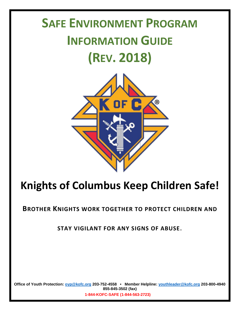# **SAFE ENVIRONMENT PROGRAM INFORMATION GUIDE (REV. 2018)**



# **Knights of Columbus Keep Children Safe!**

**BROTHER KNIGHTS WORK TOGETHER TO PROTECT CHILDREN AND** 

**STAY VIGILANT FOR ANY SIGNS OF ABUSE**.

**Office of Youth Protection: [oyp@kofc.org](mailto:oyp@kofc.org) 203-752-4558 • Member Helpline: [youthleader@kofc.org](mailto:youthleader@kofc.org) 203-800-4940 855-845-3502 (fax)**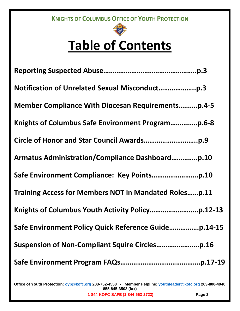

# **Table of Contents**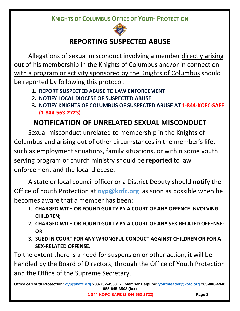

# **REPORTING SUSPECTED ABUSE**

Allegations of sexual misconduct involving a member directly arising out of his membership in the Knights of Columbus and/or in connection with a program or activity sponsored by the Knights of Columbus should be reported by following this protocol:

- **1. REPORT SUSPECTED ABUSE TO LAW ENFORCEMENT**
- **2. NOTIFY LOCAL DIOCESE OF SUSPECTED ABUSE**
- **3. NOTIFY KNIGHTS OF COLUMBUS OF SUSPECTED ABUSE AT 1-844-KOFC-SAFE (1-844-563-2723)**

# **NOTIFICATION OF UNRELATED SEXUAL MISCONDUCT**

Sexual misconduct unrelated to membership in the Knights of Columbus and arising out of other circumstances in the member's life, such as employment situations, family situations, or within some youth serving program or church ministry should be **reported** to law enforcement and the local diocese.

A state or local council officer or a District Deputy should **notify** the Office of Youth Protection at **[oyp@kofc.org](mailto:oyp@kofc.org)** as soon as possible when he becomes aware that a member has been:

- **1. CHARGED WITH OR FOUND GUILTY BY A COURT OF ANY OFFENCE INVOLVING CHILDREN;**
- **2. CHARGED WITH OR FOUND GUILTY BY A COURT OF ANY SEX-RELATED OFFENSE; OR**
- **3. SUED IN COURT FOR ANY WRONGFUL CONDUCT AGAINST CHILDREN OR FOR A SEX-RELATED OFFENSE.**

To the extent there is a need for suspension or other action, it will be handled by the Board of Directors, through the Office of Youth Protection and the Office of the Supreme Secretary.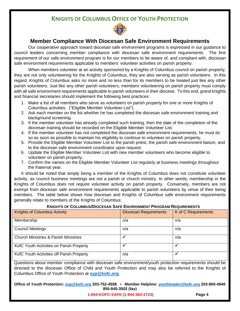

## **Member Compliance With Diocesan Safe Environment Requirements**

Our cooperative approach toward diocesan safe environment programs is expressed in our guidance to council leaders concerning member compliance with diocesan safe environment requirements. The first requirement of our safe environment program is for our members to be aware of, and compliant with, diocesan safe environment requirements applicable to members' volunteer activities on parish property.

When members volunteer at an activity sponsored by a Knights of Columbus council on parish property, they are not only volunteering for the Knights of Columbus, they are also serving as parish volunteers. In this regard, Knights of Columbus asks no more and no less than for its members to be treated just like any other parish volunteers. Just like any other parish volunteers, members volunteering on parish property must comply with all safe environment requirements applicable to parish volunteers in their diocese. To this end, grand knights and financial secretaries should implement the following best practices:

- 1. Make a list of all members who serve as volunteers on parish property for one or more Knights of Columbus activities. ("Eligible Member Volunteer List").
- 2. Ask each member on the list whether he has completed the diocesan safe environment training and background screening.
- 3. If the member volunteer has already completed such training, then the date of the completion of the diocesan training should be recorded on the Eligible Member Volunteer List.
- 4. If the member volunteer has not completed the diocesan safe environment requirements, he must do so as soon as possible to maintain his eligibility to continue to volunteer on parish property.
- 5. Provide the Eligible Member Volunteer List to the parish priest, the parish safe environment liaison, and to the diocesan safe environment coordinator upon request.
- 6. Update the Eligible Member Volunteer List with new member volunteers who become eligible to volunteer on parish property.
- 7. Confirm the names on the Eligible Member Volunteer List regularly at business meetings throughout the fraternal year.

It should be noted that simply being a member of the Knights of Columbus does not constitute volunteer activity, as council business meetings are not a parish or church ministry. In other words, membership in the Knights of Columbus does not *require* volunteer activity on parish property. Conversely, members are not exempt from diocesan safe environment requirements applicable to parish volunteers by virtue of their being members. The table below shows how diocesan and Knights of Columbus safe environment requirements generally relate to members of the Knights of Columbus:

#### **KNIGHTS OF COLUMBUS/DIOCESAN SAFE ENVIRONMENT PROGRAM REQUIREMENTS**

| <b>Knights of Columbus Activity</b>              | <b>Diocesan Requirements</b> | K of C Requirements |
|--------------------------------------------------|------------------------------|---------------------|
| Membership                                       | n/a                          | n/a                 |
| <b>Council Meetings</b>                          | n/a                          | n/a                 |
| <b>Church Ministries &amp; Parish Ministries</b> |                              | n/a                 |
| KofC Youth Activities on Parish Property         |                              |                     |
| KofC Youth Activities off Parish Property        | n/a                          |                     |

Questions about member compliance with diocesan safe environment/youth protection requirements should be directed to the diocesan Office of Child and Youth Protection and may also be referred to the Knights of Columbus Office of Youth Protection at **[oyp@kofc.org](mailto:oyp@kofc.org)**.

**Office of Youth Protection: [oyp@kofc.org](mailto:oyp@kofc.org) 203-752-4558 • Member Helpline: [youthleader@kofc.org](mailto:youthleader@kofc.org) 203-800-4940 855-845-3502 (fax)**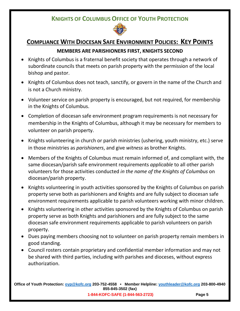

# **COMPLIANCE WITH DIOCESAN SAFE ENVIRONMENT POLICIES: KEY POINTS**

## **MEMBERS ARE PARISHIONERS FIRST, KNIGHTS SECOND**

- Knights of Columbus is a fraternal benefit society that operates through a network of subordinate councils that meets on parish property with the permission of the local bishop and pastor.
- Knights of Columbus does not teach, sanctify, or govern in the name of the Church and is not a Church ministry.
- Volunteer service on parish property is encouraged, but not required, for membership in the Knights of Columbus.
- Completion of diocesan safe environment program requirements is not necessary for membership in the Knights of Columbus, although it may be necessary for members to volunteer on parish property.
- Knights volunteering in church or parish ministries (ushering, youth ministry, etc.) serve in those ministries as *parishioners*, and give *witness* as brother Knights.
- Members of the Knights of Columbus must remain informed of, and compliant with, the same diocesan/parish safe environment requirements *applicable* to all other parish volunteers for those activities conducted *in the name of the Knights of Columbus* on diocesan/parish property.
- Knights volunteering in youth activities sponsored by the Knights of Columbus on parish property serve both as parishioners and Knights and are fully subject to diocesan safe environment requirements applicable to parish volunteers working with minor children.
- Knights volunteering in other activities sponsored by the Knights of Columbus on parish property serve as both Knights and parishioners and are fully subject to the same diocesan safe environment requirements applicable to parish volunteers on parish property.
- Dues paying members choosing not to volunteer on parish property remain members in good standing.
- Council rosters contain proprietary and confidential member information and may not be shared with third parties, including with parishes and dioceses, without express authorization.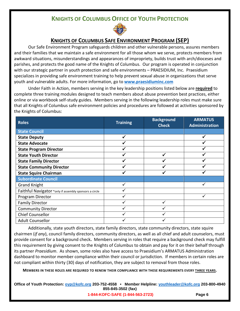

## **KNIGHTS OF COLUMBUS SAFE ENVIRONMENT PROGRAM (SEP)**

Our Safe Environment Program safeguards children and other vulnerable persons, assures members and their families that we maintain a safe environment for all those whom we serve, protects members from awkward situations, misunderstandings and appearances of impropriety, builds trust with arch/dioceses and parishes, and protects the good name of the Knights of Columbus. Our program is operated in conjunction with our strategic partner in youth protection and safe environments – PRAESIDIUM, Inc. Praesidium specializes in providing safe environment training to help prevent sexual abuse in organizations that serve youth and vulnerable adults. For more information, go to **[www.praesidiuminc.com](http://www.praesidiuminc.com/)**

Under Faith in Action, members serving in the key leadership positions listed below are **required** to complete three training modules designed to teach members about abuse prevention best practices, either online or via workbook self-study guides. Members serving in the following leadership roles must make sure that all Knights of Columbus safe environment policies and procedures are followed at activities sponsored by the Knights of Columbus:

| <b>Roles</b>                                           | <b>Training</b> | <b>Background</b><br><b>Check</b> | <b>ARMATUS</b><br>Administration |
|--------------------------------------------------------|-----------------|-----------------------------------|----------------------------------|
| <b>State Council</b>                                   |                 |                                   |                                  |
| <b>State Deputy</b>                                    |                 |                                   |                                  |
| <b>State Advocate</b>                                  |                 |                                   |                                  |
| <b>State Program Director</b>                          |                 |                                   |                                  |
| <b>State Youth Director</b>                            |                 |                                   |                                  |
| <b>State Family Director</b>                           |                 |                                   |                                  |
| <b>State Community Director</b>                        |                 |                                   |                                  |
| <b>State Squire Chairman</b>                           |                 |                                   |                                  |
| <b>Subordinate Council</b>                             |                 |                                   |                                  |
| <b>Grand Knight</b>                                    |                 |                                   |                                  |
| Faithful Navigator *only if assembly sponsors a circle |                 |                                   |                                  |
| Program Director                                       |                 |                                   |                                  |
| <b>Family Director</b>                                 |                 |                                   |                                  |
| <b>Community Director</b>                              |                 |                                   |                                  |
| <b>Chief Counsellor</b>                                |                 |                                   |                                  |
| <b>Adult Counsellor</b>                                |                 |                                   |                                  |

Additionally, state youth directors, state family directors, state community directors, state squire chairmen (*if any*), council family directors, community directors, as well as all chief and adult counselors, must provide consent for a background check**.** Members serving in roles that require a background check may fulfill this requirement by giving consent to the Knights of Columbus to obtain and pay for it on their behalf through its partner *Praesidium*. As shown, some roles also have access to Praesidium's ARMATUS Administration dashboard to monitor member compliance within their council or jurisdiction. If members in certain roles are not compliant within thirty (30) days of notification, they are subject to removal from those roles.

**MEMBERS IN THESE ROLES ARE REQUIRED TO RENEW THEIR COMPLIANCE WITH THESE REQUIREMENTS EVERY THREE YEARS.**

**Office of Youth Protection: [oyp@kofc.org](mailto:oyp@kofc.org) 203-752-4558 • Member Helpline: [youthleader@kofc.org](mailto:youthleader@kofc.org) 203-800-4940 855-845-3502 (fax)**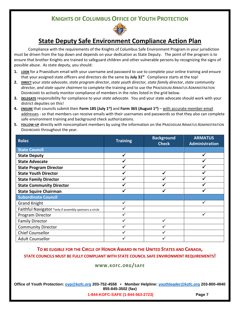

# **State Deputy Safe Environment Compliance Action Plan**

Compliance with the requirements of the Knights of Columbus Safe Environment Program in your jurisdiction must be driven from the top down and depends on your dedication as State Deputy. The point of the program is to ensure that brother Knights are trained to safeguard children and other vulnerable persons by recognizing the signs of possible abuse. As state deputy, you should:

- **1. LOOK** for a Praesidium email with your username and password to use to complete your online training and ensure that your assigned state officers and directors do the same by **July 31st** Compliance starts at the top!
- **2. DIRECT** your *state advocate*, *state program director*, *state youth director, state family director*, *state community director, and state squire chairmen* to complete the training and to use the PRAESIDIUM ARMATUS ADMINISTRATION DASHBOARD to actively monitor compliance of members in the roles listed in the grid below.
- **3. DELEGATE** responsibility for compliance to your *state advocate*.You and your state advocate should work with your district deputies on this!
- **4. ENSURE** that councils submit their **Form 185 (July 1st)** and **Form 365 (August 1st)** with accurate member email addresses - so that members can receive emails with their usernames and passwords so that they also can complete safe environment training and background check authorizations.
- **5. FOLLOW-UP** directly with noncompliant members by using the information on the PRAESIDIUM ARMATUS ADMINISTRATION DASHBOARD throughout the year.

| <b>Roles</b>                                           | <b>Training</b> | <b>Background</b><br><b>Check</b> | <b>ARMATUS</b><br>Administration |
|--------------------------------------------------------|-----------------|-----------------------------------|----------------------------------|
| <b>State Council</b>                                   |                 |                                   |                                  |
| <b>State Deputy</b>                                    | ✓               |                                   |                                  |
| <b>State Advocate</b>                                  |                 |                                   |                                  |
| <b>State Program Director</b>                          |                 |                                   |                                  |
| <b>State Youth Director</b>                            |                 |                                   |                                  |
| <b>State Family Director</b>                           |                 |                                   |                                  |
| <b>State Community Director</b>                        |                 |                                   |                                  |
| <b>State Squire Chairman</b>                           |                 |                                   |                                  |
| <b>Subordinate Council</b>                             |                 |                                   |                                  |
| <b>Grand Knight</b>                                    |                 |                                   |                                  |
| Faithful Navigator *only if assembly sponsors a circle |                 |                                   |                                  |
| Program Director                                       |                 |                                   |                                  |
| <b>Family Director</b>                                 |                 |                                   |                                  |
| <b>Community Director</b>                              |                 |                                   |                                  |
| <b>Chief Counsellor</b>                                |                 |                                   |                                  |
| <b>Adult Counsellor</b>                                |                 |                                   |                                  |

**TO BE ELIGIBLE FOR THE CIRCLE OF HONOR AWARD IN THE UNITED STATES AND CANADA, STATE COUNCILS MUST BE FULLY COMPLIANT WITH STATE COUNCIL SAFE ENVIRONMENT REQUIREMENTS!**

#### **WWW.KOFC.ORG/SAFE**

**Office of Youth Protection: [oyp@kofc.org](mailto:oyp@kofc.org) 203-752-4558 • Member Helpline: [youthleader@kofc.org](mailto:youthleader@kofc.org) 203-800-4940 855-845-3502 (fax)**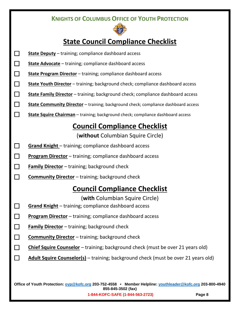

# **State Council Compliance Checklist**

| $\Box$ | <b>State Deputy</b> - training; compliance dashboard access                        |
|--------|------------------------------------------------------------------------------------|
| $\Box$ | <b>State Advocate</b> - training; compliance dashboard access                      |
| $\Box$ | State Program Director - training; compliance dashboard access                     |
| $\Box$ | State Youth Director - training; background check; compliance dashboard access     |
| $\Box$ | State Family Director - training; background check; compliance dashboard access    |
| $\Box$ | State Community Director - training; background check; compliance dashboard access |
| $\Box$ | State Squire Chairman - training; background check; compliance dashboard access    |
|        | <b>Council Compliance Checklist</b>                                                |
|        | (without Columbian Squire Circle)                                                  |
| ப      | <b>Grand Knight</b> - training; compliance dashboard access                        |
| $\Box$ | Program Director - training; compliance dashboard access                           |
| $\Box$ | Family Director - training; background check                                       |
| $\Box$ | <b>Community Director</b> - training; background check                             |
|        | <b>Council Compliance Checklist</b>                                                |
|        | (with Columbian Squire Circle)                                                     |
| $\Box$ | <b>Grand Knight</b> – training; compliance dashboard access                        |
| $\Box$ | <b>Program Director</b> – training; compliance dashboard access                    |
| $\Box$ | <b>Family Director</b> - training; background check                                |
| $\Box$ | <b>Community Director</b> - training; background check                             |
| $\Box$ | Chief Squire Counselor - training; background check (must be over 21 years old)    |
|        | Adult Squire Counselor(s) - training; background check (must be over 21 years old) |
|        |                                                                                    |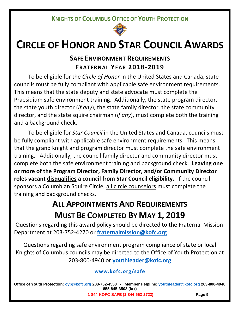

# **CIRCLE OF HONOR AND STAR COUNCIL AWARDS**

# **SAFE ENVIRONMENT REQUIREMENTS FRATERNAL YEAR 2018-2019**

To be eligible for the *Circle of Honor* in the United States and Canada, state councils must be fully compliant with applicable safe environment requirements. This means that the state deputy and state advocate must complete the Praesidium safe environment training. Additionally, the state program director, the state youth director (*if any*), the state family director, the state community director, and the state squire chairman (*if any*), must complete both the training and a background check.

To be eligible for *Star Council* in the United States and Canada, councils must be fully compliant with applicable safe environment requirements. This means that the grand knight and program director must complete the safe environment training. Additionally, the council family director and community director must complete both the safe environment training and background check. **Leaving one or more of the Program Director, Family Director, and/or Community Director roles vacant disqualifies a council from Star Council eligibility.** If the council sponsors a Columbian Squire Circle, all circle counselors must complete the training and background checks.

# **ALL APPOINTMENTS AND REQUIREMENTS MUST BE COMPLETED BY MAY 1, 2019**

Questions regarding this award policy should be directed to the Fraternal Mission Department at 203-752-4270 or **[fraternalmission@kofc.org](mailto:fraternalmission@kofc.org)**

Questions regarding safe environment program compliance of state or local Knights of Columbus councils may be directed to the Office of Youth Protection at 203-800-4940 or **[youthleader@kofc.org](mailto:youthleader@kofc.org)**

**[www.kofc.org/safe](http://www.kofc.org/safe)**

**Office of Youth Protection: [oyp@kofc.org](mailto:oyp@kofc.org) 203-752-4558 • Member Helpline: [youthleader@kofc.org](mailto:youthleader@kofc.org) 203-800-4940 855-845-3502 (fax)**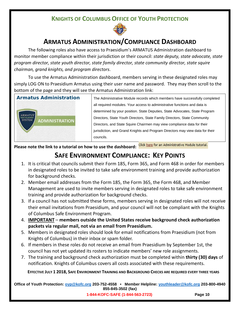

# **ARMATUS ADMINISTRATION/COMPLIANCE DASHBOARD**

The following roles also have access to Praesidium's ARMATUS Administration dashboard to monitor member compliance within their jurisdiction or their council: *state deputy, state advocate, state program director, state youth director, state family director, state community director, state squire chairman, grand knights, and program directors*.

To use the Armatus Administration dashboard, members serving in these designated roles may simply LOG ON to Praesidium Armatus using their user name and password. They may then scroll to the bottom of the page and they will see the Armatus Administration link:



**Armatus Administration** The Administrative Module records which members have successfully completed all required modules. Your access to administrative functions and data is determined by your position. State Deputies, State Advocates, State Program Directors, State Youth Directors, State Family Directors, State Community Directors, and State Squire Chairmen may view compliance data for their jurisdiction, and Grand Knights and Program Directors may view data for their councils.

**Please note the link to a tutorial on how to use the dashboard:**

# **SAFE ENVIRONMENT COMPLIANCE: KEY POINTS**

- 1. It is critical that councils submit their Form 185, Form 365, and Form 468 in order for members in designated roles to be invited to take safe environment training and provide authorization for background checks.
- 2. Member email addresses from the Form 185, the Form 365, the Form 468, and Member Management are used to invite members serving in designated roles to take safe environment training and provide authorization for background checks.
- 3. If a council has not submitted these forms, members serving in designated roles will not receive their email invitations from Praesidium, and your council will not be compliant with the Knights of Columbus Safe Environment Program.
- 4. **IMPORTANT members outside the United States receive background check authorization packets via regular mail, not via an email from Praesidium.**
- 5. Members in designated roles should look for email notifications from Praesidium (not from Knights of Columbus) in their inbox or spam folder.
- 6. If members in these roles do not receive an email from Praesidium by September 1st, the council has not yet updated its rosters to indicate members' new role assignments.
- 7. The training and background check authorization must be completed within **thirty (30) days** of notification. Knights of Columbus covers all costs associated with these requirements.

**EFFECTIVE JULY 1 2018, SAFE ENVIRONMENT TRAINING AND BACKGROUND CHECKS ARE REQUIRED EVERY THREE YEARS**

**Office of Youth Protection: [oyp@kofc.org](mailto:oyp@kofc.org) 203-752-4558 • Member Helpline: [youthleader@kofc.org](mailto:youthleader@kofc.org) 203-800-4940 855-845-3502 (fax)**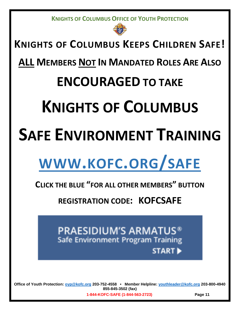

# **KNIGHTS OF COLUMBUS KEEPS CHILDREN SAFE!**

**ALL MEMBERS NOT IN MANDATED ROLES ARE ALSO**

# **ENCOURAGED TO TAKE**

# **KNIGHTS OF COLUMBUS**

# **SAFE ENVIRONMENT TRAINING**

# **[WWW.KOFC.ORG/SAFE](http://www.kofc.org/safe)**

# **CLICK THE BLUE "FOR ALL OTHER MEMBERS" BUTTON**

**REGISTRATION CODE: KOFCSAFE**



**Office of Youth Protection: [oyp@kofc.org](mailto:oyp@kofc.org) 203-752-4558 • Member Helpline: [youthleader@kofc.org](mailto:youthleader@kofc.org) 203-800-4940 855-845-3502 (fax)**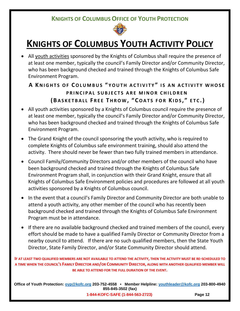

# **KNIGHTS OF COLUMBUS YOUTH ACTIVITY POLICY**

• All youth activities sponsored by the Knights of Columbus shall require the presence of at least one member, typically the council's Family Director and/or Community Director, who has been background checked and trained through the Knights of Columbus Safe Environment Program.

# **A KNIGHTS OF COLUMBUS " YOUTH ACTIVITY " IS AN ACTIVITY WHOSE PRINCIPAL SUBJECTS ARE MINOR CHILDREN (B ASKETBALL F REE T HROW , " COATS FOR KIDS , " ETC .)**

- All youth activities sponsored by a Knights of Columbus council require the presence of at least one member, typically the council's Family Director and/or Community Director, who has been background checked and trained through the Knights of Columbus Safe Environment Program.
- The Grand Knight of the council sponsoring the youth activity, who is required to complete Knights of Columbus safe environment training, should also attend the activity. There should never be fewer than two fully trained members in attendance.
- Council Family/Community Directors and/or other members of the council who have been background checked and trained through the Knights of Columbus Safe Environment Program shall, in conjunction with their Grand Knight, ensure that all Knights of Columbus Safe Environment policies and procedures are followed at all youth activities sponsored by a Knights of Columbus council.
- In the event that a council's Family Director and Community Director are both unable to attend a youth activity, any other member of the council who has recently been background checked and trained through the Knights of Columbus Safe Environment Program must be in attendance.
- If there are no available background checked and trained members of the council, every effort should be made to have a qualified Family Director or Community Director from a nearby council to attend. If there are no such qualified members, then the State Youth Director, State Family Director, and/or State Community Director should attend.

**IF AT LEAST TWO QUALIFIED MEMBERS ARE NOT AVAILABLE TO ATTEND THE ACTIVITY, THEN THE ACTIVITY MUST BE RE-SCHEDULED TO A TIME WHEN THE COUNCIL'S FAMILY DIRECTOR AND/OR COMMUNITY DIRECTOR, ALONG WITH ANOTHER QUALIFIED MEMBER WILL BE ABLE TO ATTEND FOR THE FULL DURATION OF THE EVENT.**

**Office of Youth Protection: [oyp@kofc.org](mailto:oyp@kofc.org) 203-752-4558 • Member Helpline: [youthleader@kofc.org](mailto:youthleader@kofc.org) 203-800-4940 855-845-3502 (fax)**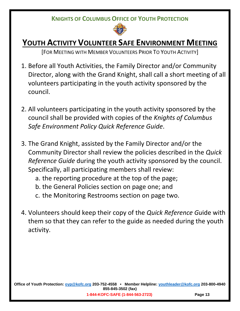

# **YOUTH ACTIVITY VOLUNTEER SAFE ENVIRONMENT MEETING**

[FOR MEETING WITH MEMBER VOLUNTEERS PRIOR TO YOUTH ACTIVITY]

- 1. Before all Youth Activities, the Family Director and/or Community Director, along with the Grand Knight, shall call a short meeting of all volunteers participating in the youth activity sponsored by the council.
- 2. All volunteers participating in the youth activity sponsored by the council shall be provided with copies of the *Knights of Columbus Safe Environment Policy Quick Reference Guide*.
- 3. The Grand Knight, assisted by the Family Director and/or the Community Director shall review the policies described in the *Quick Reference Guide* during the youth activity sponsored by the council. Specifically, all participating members shall review:
	- a. the reporting procedure at the top of the page;
	- b. the General Policies section on page one; and
	- c. the Monitoring Restrooms section on page two.
- 4. Volunteers should keep their copy of the *Quick Reference Gu*ide with them so that they can refer to the guide as needed during the youth activity.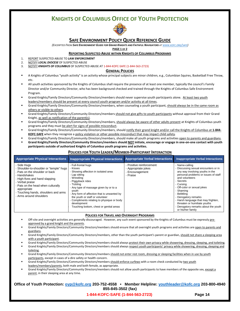

#### **SAFE ENVIRONMENT POLICY QUICK REFERENCE GUIDE**

*(EXCERPTED FROM SAFE ENVIRONMENT GUIDE FOR GRAND KNIGHTS AND FAITHFUL NAVIGATORS A[T WWW.KOFC.ORG/SAFE\)](http://www.kofc.org/safe)*

**PAGE 1 OF 2**

#### **REPORTING SUSPECTED ABUSE WITHIN KNIGHTS OF COLUMBUS PROGRAMS**

- 1. REPORT SUSPECTED ABUSE TO *LAW ENFORCEMENT*
- 2. NOTIFY *LOCAL DIOCESE* OF SUSPECTED ABUSE
- 3. NOTIFY *KNIGHTS OF COLUMBUS* OF SUSPECTED ABUSE AT 1-844-KOFC-SAFE (1-844-563-2723)

#### **GENERAL POLICIES**

- A Knights of Columbus "youth activity" is an activity whose principal subjects are minor children, e.g., Columbian Squires, Basketball Free Throw, etc.
- All youth activities sponsored by the Knights of Columbus shall require the presence of at least one member, typically the council's Family Director and/or Community Director, who has been background checked and trained through the Knights of Columbus Safe Environment Program.
- Grand Knights/Family Directors/Community Directors/members should never supervise youth participants alone. At least two youth leaders/members should be present at every council youth program and/or activity at all times.
- Grand Knights/Family Directors/Community Directors/members, when counseling a youth participant, should always be in the same room as others or visible to others.
- Grand Knights/Family Directors/Community Directors/members should not give gifts to youth participants without approval from their Grand Knight, as well as notification of the parent(s).
- Grand Knights/Family Directors/Community Directors/members, should always be aware of other adults present at Knights of Columbus youth programs and they must be alert for signs of possible misconduct.
- Grand Knights/Family Directors/Community Directors/members, should notify their grand knight and/or call the Knights of Columbus at **1-844- KOFC-SAFE** when they recognize a policy violation or other possible misconduct that may impact child safety.
- Grand Knights/Family Directors/Community Directors/members, should make all youth programs and activities open to parents and guardians.
- **Grand Knights/Family Directors/Community Directors/members should NOT initiate, encourage or engage in one-on-one contact with youth participants outside of authorized Knights of Columbus youth programs and activities.**

| <b>Appropriate Physical Interactions</b>                                                                                                                                                                                                                                          | <b>Inappropriate Physical Interactions</b>                                                                                                                                                                                                                                                                                                                                  | <b>Appropriate Verbal Interactions</b>                                         | <b>Inappropriate Verbal Interactions</b>                                                                                                                                                                                                                                                                                                                                                      |
|-----------------------------------------------------------------------------------------------------------------------------------------------------------------------------------------------------------------------------------------------------------------------------------|-----------------------------------------------------------------------------------------------------------------------------------------------------------------------------------------------------------------------------------------------------------------------------------------------------------------------------------------------------------------------------|--------------------------------------------------------------------------------|-----------------------------------------------------------------------------------------------------------------------------------------------------------------------------------------------------------------------------------------------------------------------------------------------------------------------------------------------------------------------------------------------|
| Side Huas<br>Shoulder-to-shoulder or "temple" hugs<br>- Pats on the shoulder or back<br>- Handshakes<br>- High-fives and hand slapping<br>- Verbal praise<br>- Pats on the head when culturally<br>appropriate<br>- Touching hands, shoulders and arms<br>- Arms around shoulders | - Full-frontal hugs<br>Kisses<br>- Showing affection in isolated area<br>Lap sitting<br>Wrestling<br>- Piggyback rides<br>Ticklina<br>- Any type of massage given by or to a<br>youth<br>Any form of affection that is unwanted by<br>the youth or staff or volunteer<br>Compliments relating to physique or body<br>development<br>Touching bottom, chest or genital areas | - Positive reinforcement<br>- Appropriate jokes<br>- Encouragement<br>- Praise | - Name-calling<br>Discussing sexual encounters or in<br>any way involving youths in the<br>personal problems or issues of staff<br>and volunteers<br>- Secrets<br>- Cursing<br>- Off-color or sexual jokes<br>- Shaming<br>Belittling<br>- Derogatory remarks<br>Harsh language that may frighten,<br>threaten or humiliate youths<br>Derogatory remarks about the youth<br>or his/her family |

#### **POLICIES FOR YOUTH LEADER/MEMBER-PARTICIPANT INTERACTION**

#### **POLICIES FOR TRAVEL AND OVERNIGHT PROGRAMS**

- Off-site and overnight activities are generally discouraged. However, any such event sponsored by the Knights of Columbus must be expressly preapproved by a grand knight and the parents.
- Grand Knights/Family Directors/Community Directors/members should ensure that all overnight youth programs and activities are open to parents and guardians.
- Grand Knights/Family Directors/Community Directors/members, other than the youth participant's parent or guardian, should not share a sleeping area with a youth participant.
- Grand Knights/Family Directors/Community Directors/members should always protect their own privacy while showering, dressing, sleeping, and toileting.
- Grand Knights/Family Directors/Community Directors/members should always respect youth participants' privacy while showering, dressing, sleeping and toileting.
- Grand Knights/Family Directors/Community Directors/members should not enter rest room, dressing or sleeping facilities when in use by youth participants, except in cases of a dire safety or health concern.
- Grand Knights/Family Directors/Community Directors/members should enforce curfews with a room check conducted by two youth leaders/members/parents, both male and both female, as appropriate.
- Grand Knights/Family Directors/Community Directors/members should not allow youth participants to have members of the opposite sex, except a parent, in their sleeping area at any time.

#### **Office of Youth Protection: [oyp@kofc.org](mailto:oyp@kofc.org) 203-752-4558 • Member Helpline: [youthleader@kofc.org](mailto:youthleader@kofc.org) 203-800-4940 855-845-3502 (fax)**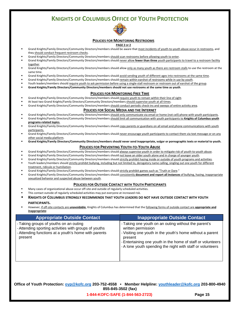

#### **POLICIES FOR MONITORING RESTROOMS**

#### **PAGE 2 OF 2**

- Grand Knights/Family Directors/Community Directors/members should be aware that most incidents of youth-to-youth abuse occur in restrooms, and they should conduct frequent restroom checks.
- Grand Knights/Family Directors/Community Directors/members should scan restrooms before allowing youth to enter.
- Grand Knights/Family Directors/Community Directors/members should never allow **fewer than three** youth participants to travel to a restroom facility together.
- Grand Knights/Family Directors/Community Directors/members should allow only as many youth as there are restroom stalls to use the restroom at the same time.
- Grand Knights/Family Directors/Community Directors/members should avoid sending youth of different ages into restrooms at the same time.
- Grand Knights/Family Directors/Community Directors/members should remain within earshot of restrooms while in use by youth.
- Youth leaders/members should require youth to ask permission before using a single-stall restroom or restroom out of earshot of the group.
- **Grand Knights/Family Directors/Community Directors/members should not use restrooms at the same time as youth**.

#### **POLICIES FOR MONITORING FREE TIME**

- Grand Knights/Family Directors/Community Directors/members should require youth to remain within their line of sight.
- At least two Grand Knights/Family Directors/Community Directors/members should supervise youth at all times.
- Grand Knights/Family Directors/Community Directors/members should conduct periodic check-ins and sweeps of entire activity area.

#### **POLICIES FOR SOCIAL MEDIA AND THE INTERNET**

- Grand Knights/Family Directors/Community Directors/members should only communicate via email or home (not cell) phone with youth participants. Grand Knights/Family Directors/Community Directors/members should limit all communication with youth participants to **Knights of Columbus youth programs-related topics**.
- Grand Knights/Family Directors/Community Directors/members should copy parents or guardians on all email and phone communications with youth participants.
- Grand Knights/Family Directors/Community Directors/members should never encourage youth participants to contact them via text message or on any other social media platform.
- **Grand Knights/Family Directors/Community Directors/members should never send inappropriate, vulgar or pornographic texts or material to youth.**

#### **POLICIES FOR PREVENTING YOUTH-TO-YOUTH ABUSE**

- Grand Knights/Family Directors/Community Directors/members should always supervise youth in order to mitigate risk of youth-to-youth abuse.
- Grand Knights/Family Directors/Community Directors/members should not leave an older youth alone and in charge of younger youth.
	- Grand Knights/Family Directors/Community Directors/members should strictly prohibit hazing inside or outside of youth programs and activities.
- Youth leaders/members should strictly prohibit bullying, including but not limited to, derogatory name calling, singling out one youth for different treatment, ridicule or humiliation.
- Grand Knights/Family Directors/Community Directors/members should strictly prohibit games such as "Truth or Dare."
- Grand Knights/Family Directors/Community Directors/members should consistently **document and report all instances** of bullying, hazing, inappropriate sexualized behavior and suspected abuse between youth.

#### **POLICIES FOR OUTSIDE CONTACT WITH YOUTH PARTICIPANTS**

- Many cases of organizational abuse occur off-site and outside of regularly scheduled activities.
- This contact outside of regularly scheduled activities may put everyone at increased risk.
- **KNIGHTS OF COLUMBUS STRONGLY RECOMMENDS THAT YOUTH LEADERS DO NOT HAVE OUTSIDE CONTACT WITH YOUTH PARTICIPANTS.**
- However, if off-site contacts are **unavoidable**, Knights of Columbus has determined that the following forms of outside contact are **appropriate and inappropriate**:

| <b>Appropriate Outside Contact</b>                                                                                                                                 | <b>Inappropriate Outside Contact</b>                                                                                                                                                                                                                                            |
|--------------------------------------------------------------------------------------------------------------------------------------------------------------------|---------------------------------------------------------------------------------------------------------------------------------------------------------------------------------------------------------------------------------------------------------------------------------|
| - Taking groups of youths on an outing<br>- Attending sporting activities with groups of youths<br>- Attending functions at a youth's home with parents<br>present | - Taking one youth on an outing without the parent's<br>written permission<br>- Visiting one youth in the youth's home without a parent<br>present<br>- Entertaining one youth in the home of staff or volunteers<br>- A lone youth spending the night with staff or volunteers |

**Office of Youth Protection: [oyp@kofc.org](mailto:oyp@kofc.org) 203-752-4558 • Member Helpline: [youthleader@kofc.org](mailto:youthleader@kofc.org) 203-800-4940 855-845-3502 (fax)**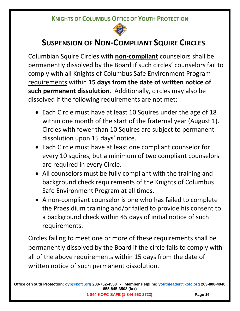

# **SUSPENSION OF NON-COMPLIANT SQUIRE CIRCLES**

Columbian Squire Circles with **non-compliant** counselors shall be permanently dissolved by the Board if such circles' counselors fail to comply with all Knights of Columbus Safe Environment Program requirements within **15 days from the date of written notice of such permanent dissolution**. Additionally, circles may also be dissolved if the following requirements are not met:

- Each Circle must have at least 10 Squires under the age of 18 within one month of the start of the fraternal year (August 1). Circles with fewer than 10 Squires are subject to permanent dissolution upon 15 days' notice.
- Each Circle must have at least one compliant counselor for every 10 squires, but a minimum of two compliant counselors are required in every Circle.
- All counselors must be fully compliant with the training and background check requirements of the Knights of Columbus Safe Environment Program at all times.
- A non-compliant counselor is one who has failed to complete the Praesidium training and/or failed to provide his consent to a background check within 45 days of initial notice of such requirements.

Circles failing to meet one or more of these requirements shall be permanently dissolved by the Board if the circle fails to comply with all of the above requirements within 15 days from the date of written notice of such permanent dissolution.

**=**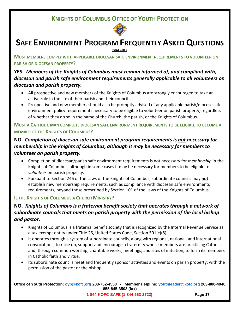

# **SAFE ENVIRONMENT PROGRAM FREQUENTLY ASKED QUESTIONS**

**PAGE 1 OF 3**

**MUST MEMBERS COMPLY WITH APPLICABLE DIOCESAN SAFE ENVIRONMENT REQUIREMENTS TO VOLUNTEER ON PARISH OR DIOCESAN PROPERTY?** 

# **YES.** *Members of the Knights of Columbus must remain informed of, and compliant with, diocesan and parish safe environment requirements generally applicable to all volunteers on diocesan and parish property.*

- All prospective and new members of the Knights of Columbus are strongly encouraged to take an active role in the life of their parish and their council.
- Prospective and new members should also be promptly advised of any applicable parish/diocese safe environment policy requirements necessary to be eligible to volunteer on parish property, regardless of whether they do so in the name of the Church, the parish, or the Knights of Columbus.

### **MUST A CATHOLIC MAN COMPLETE DIOCESAN SAFE ENVIRONMENT REQUIREMENTS TO BE ELIGIBLE TO BECOME A MEMBER OF THE KNIGHTS OF COLUMBUS?**

# **NO.** *Completion of diocesan safe environment program requirements is not necessary for membership in the Knights of Columbus, although it may be necessary for members to volunteer on parish property.*

- Completion of diocesan/parish safe environment requirements is not necessary for *membership* in the Knights of Columbus, although in some cases it may be necessary for members to be eligible to *volunteer* on parish property.
- Pursuant to Section 246 of the Laws of the Knights of Columbus, subordinate councils may **not** establish new membership requirements, such as compliance with diocesan safe environments requirements, beyond those prescribed by Section 101 of the Laws of the Knights of Columbus.

### **IS THE KNIGHTS OF COLUMBUS A CHURCH MINISTRY?**

# **NO.** *Knights of Columbus is a fraternal benefit society that operates through a network of subordinate councils that meets on parish property with the permission of the local bishop and pastor.*

- Knights of Columbus is a fraternal benefit society that is recognized by the Internal Revenue Service as a tax exempt entity under Title 26, United States Code, Section 501(c)(8).
- It operates through a system of subordinate councils, along with regional, national, and international convocations, to raise up, support and encourage a fraternity whose members are practicing Catholics and, through common worship, charitable works, meetings, and rites of initiation, to form its members in Catholic faith and virtue.
- Its subordinate councils meet and frequently sponsor activities and events on parish property, with the permission of the pastor or the bishop.

**Office of Youth Protection: [oyp@kofc.org](mailto:oyp@kofc.org) 203-752-4558 • Member Helpline: [youthleader@kofc.org](mailto:youthleader@kofc.org) 203-800-4940 855-845-3502 (fax)**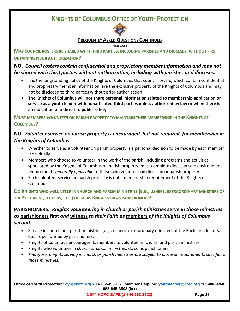

#### **FREQUENTLY ASKED QUESTIONS CONTINUED**

#### **PAGE 2 OF 3**

**MAY COUNCIL ROSTERS BE SHARED WITH THIRD PARTIES, INCLUDING PARISHES AND DIOCESES, WITHOUT FIRST OBTAINING PRIOR AUTHORIZATION?** 

## **NO.** *Council rosters contain confidential and proprietary member information and may not be shared with third parties without authorization, including with parishes and dioceses.*

- It is the longstanding policy of the Knights of Columbus that council rosters, which contain confidential and proprietary member information, are the exclusive property of the Knights of Columbus and may not be disclosed to third parties without prior authorization.
- **The Knights of Columbus will not share personal information related to membership application or service as a youth leader with nonaffiliated third parties unless authorized by law or when there is an indication of a threat to public safety.**

**MUST MEMBERS** *VOLUNTEER* **ON PARISH PROPERTY TO MAINTAIN THEIR MEMBERSHIP IN THE KNIGHTS OF COLUMBUS?**

## **NO**. *Volunteer service on parish property is encouraged, but not required, for membership in the Knights of Columbus.*

- Whether to serve as a volunteer on parish property is a personal decision to be made by each member individually.
- Members who choose to volunteer in the work of the parish, including programs and activities sponsored by the Knights of Columbus on parish property, must complete diocesan safe environment requirements *generally applicable* to those who volunteer on diocesan or parish property.
- Such volunteer service on parish property is not a membership requirement of the Knights of Columbus.

**DO KNIGHTS WHO VOLUNTEER IN CHURCH AND PARISH MINISTRIES (E.G., USHERS, EXTRAORDINARY MINISTERS OF THE EUCHARIST, LECTORS, ETC.) DO SO AS KNIGHTS OR AS PARISHIONERS?**

## **PARISHIONERS.** *Knights volunteering in church or parish ministries* **serve** *in those ministries as* **parishioners first** *and* **witness** *to their Faith as* **members** *of the Knights of Columbus second.*

- Service in church and parish ministries (e.g., ushers, extraordinary ministers of the Eucharist, lectors, etc.) is performed by parishioners.
- Knights of Columbus encourages its members to volunteer in church and parish ministries.
- Knights who volunteer in *church or parish ministries* do so as parishioners.
- *Therefore, Knights serving in church or parish ministries are subject to diocesan requirements specific to those ministries.*

**Office of Youth Protection: [oyp@kofc.org](mailto:oyp@kofc.org) 203-752-4558 • Member Helpline: [youthleader@kofc.org](mailto:youthleader@kofc.org) 203-800-4940 855-845-3502 (fax)**